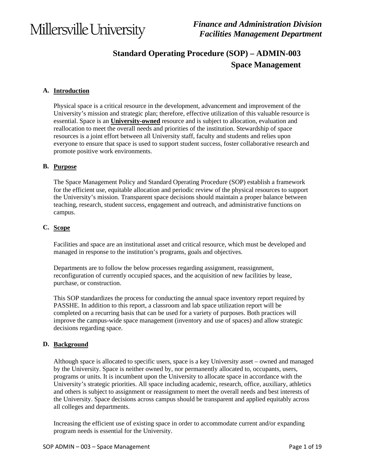### **Standard Operating Procedure (SOP) – ADMIN-003 Space Management**

#### **A. Introduction**

Physical space is a critical resource in the development, advancement and improvement of the University's mission and strategic plan; therefore, effective utilization of this valuable resource is essential. Space is an **University-owned** resource and is subject to allocation, evaluation and reallocation to meet the overall needs and priorities of the institution. Stewardship of space resources is a joint effort between all University staff, faculty and students and relies upon everyone to ensure that space is used to support student success, foster collaborative research and promote positive work environments.

#### **B. Purpose**

The Space Management Policy and Standard Operating Procedure (SOP) establish a framework for the efficient use, equitable allocation and periodic review of the physical resources to support the University's mission. Transparent space decisions should maintain a proper balance between teaching, research, student success, engagement and outreach, and administrative functions on campus.

#### **C. Scope**

Facilities and space are an institutional asset and critical resource, which must be developed and managed in response to the institution's programs, goals and objectives.

Departments are to follow the below processes regarding assignment, reassignment, reconfiguration of currently occupied spaces, and the acquisition of new facilities by lease, purchase, or construction.

This SOP standardizes the process for conducting the annual space inventory report required by PASSHE. In addition to this report, a classroom and lab space utilization report will be completed on a recurring basis that can be used for a variety of purposes. Both practices will improve the campus-wide space management (inventory and use of spaces) and allow strategic decisions regarding space.

#### **D. Background**

Although space is allocated to specific users, space is a key University asset – owned and managed by the University. Space is neither owned by, nor permanently allocated to, occupants, users, programs or units. It is incumbent upon the University to allocate space in accordance with the University's strategic priorities. All space including academic, research, office, auxiliary, athletics and others is subject to assignment or reassignment to meet the overall needs and best interests of the University. Space decisions across campus should be transparent and applied equitably across all colleges and departments.

Increasing the efficient use of existing space in order to accommodate current and/or expanding program needs is essential for the University.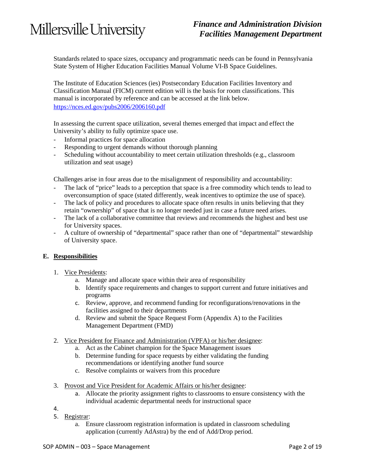### *Finance and Administration Division Facilities Management Department*

Standards related to space sizes, occupancy and programmatic needs can be found in Pennsylvania State System of Higher Education Facilities Manual Volume VI-B Space Guidelines.

The Institute of Education Sciences (ies) Postsecondary Education Facilities Inventory and Classification Manual (FICM) current edition will is the basis for room classifications. This manual is incorporated by reference and can be accessed at the link below. <https://nces.ed.gov/pubs2006/2006160.pdf>

In assessing the current space utilization, several themes emerged that impact and effect the University's ability to fully optimize space use.

- Informal practices for space allocation
- Responding to urgent demands without thorough planning
- Scheduling without accountability to meet certain utilization thresholds (e.g., classroom utilization and seat usage)

Challenges arise in four areas due to the misalignment of responsibility and accountability:

- The lack of "price" leads to a perception that space is a free commodity which tends to lead to overconsumption of space (stated differently, weak incentives to optimize the use of space).
- The lack of policy and procedures to allocate space often results in units believing that they retain "ownership" of space that is no longer needed just in case a future need arises.
- The lack of a collaborative committee that reviews and recommends the highest and best use for University spaces.
- A culture of ownership of "departmental" space rather than one of "departmental" stewardship of University space.

#### **E. Responsibilities**

- 1. Vice Presidents:
	- a. Manage and allocate space within their area of responsibility
	- b. Identify space requirements and changes to support current and future initiatives and programs
	- c. Review, approve, and recommend funding for reconfigurations/renovations in the facilities assigned to their departments
	- d. Review and submit the Space Request Form (Appendix A) to the Facilities Management Department (FMD)
- 2. Vice President for Finance and Administration (VPFA) or his/her designee:
	- a. Act as the Cabinet champion for the Space Management issues
	- b. Determine funding for space requests by either validating the funding recommendations or identifying another fund source
	- c. Resolve complaints or waivers from this procedure
- 3. Provost and Vice President for Academic Affairs or his/her designee:
	- a. Allocate the priority assignment rights to classrooms to ensure consistency with the individual academic departmental needs for instructional space

4.

- 5. Registrar:
	- a. Ensure classroom registration information is updated in classroom scheduling application (currently AdAstra) by the end of Add/Drop period.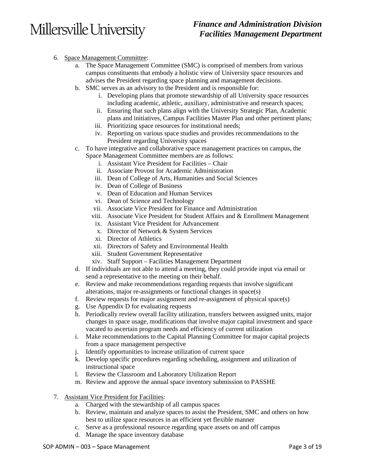### *Finance and Administration Division Facilities Management Department*

- 6. Space Management Committee:
	- a. The Space Management Committee (SMC) is comprised of members from various campus constituents that embody a holistic view of University space resources and advises the President regarding space planning and management decisions.
	- b. SMC serves as an advisory to the President and is responsible for:
		- i. Developing plans that promote stewardship of all University space resources including academic, athletic, auxiliary, administrative and research spaces;
		- ii. Ensuring that such plans align with the University Strategic Plan, Academic plans and initiatives, Campus Facilities Master Plan and other pertinent plans;
		- iii. Prioritizing space resources for institutional needs;
		- iv. Reporting on various space studies and provides recommendations to the President regarding University spaces
	- c. To have integrative and collaborative space management practices on campus, the Space Management Committee members are as follows:
		- i. Assistant Vice President for Facilities Chair
		- ii. Associate Provost for Academic Administration
		- iii. Dean of College of Arts, Humanities and Social Sciences
		- iv. Dean of College of Business
		- v. Dean of Education and Human Services
		- vi. Dean of Science and Technology
		- vii. Associate Vice President for Finance and Administration
		- viii. Associate Vice President for Student Affairs and & Enrollment Management
		- ix. Assistant Vice President for Advancement
		- x. Director of Network & System Services
		- xi. Director of Athletics
		- xii. Directors of Safety and Environmental Health
		- xiii. Student Government Representative
		- xiv. Staff Support Facilities Management Department
	- d. If individuals are not able to attend a meeting, they could provide input via email or send a representative to the meeting on their behalf.
	- e. Review and make recommendations regarding requests that involve significant alterations, major re-assignments or functional changes in space(s)
	- f. Review requests for major assignment and re-assignment of physical space(s)
	- g. Use Appendix D for evaluating requests
	- h. Periodically review overall facility utilization, transfers between assigned units, major changes in space usage, modifications that involve major capital investment and space vacated to ascertain program needs and efficiency of current utilization
	- i. Make recommendations to the Capital Planning Committee for major capital projects from a space management perspective
	- j. Identify opportunities to increase utilization of current space
	- k. Develop specific procedures regarding scheduling, assignment and utilization of instructional space
	- l. Review the Classroom and Laboratory Utilization Report
	- m. Review and approve the annual space inventory submission to PASSHE
- 7. Assistant Vice President for Facilities:
	- a. Charged with the stewardship of all campus spaces
	- b. Review, maintain and analyze spaces to assist the President, SMC and others on how best to utilize space resources in an efficient yet flexible manner
	- c. Serve as a professional resource regarding space assets on and off campus
	- d. Manage the space inventory database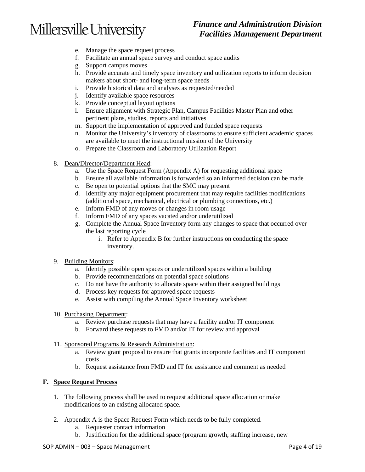### *Finance and Administration Division Facilities Management Department*

- e. Manage the space request process
- f. Facilitate an annual space survey and conduct space audits
- g. Support campus moves
- h. Provide accurate and timely space inventory and utilization reports to inform decision makers about short- and long-term space needs
- i. Provide historical data and analyses as requested/needed
- j. Identify available space resources
- k. Provide conceptual layout options
- l. Ensure alignment with Strategic Plan, Campus Facilities Master Plan and other pertinent plans, studies, reports and initiatives
- m. Support the implementation of approved and funded space requests
- n. Monitor the University's inventory of classrooms to ensure sufficient academic spaces are available to meet the instructional mission of the University
- o. Prepare the Classroom and Laboratory Utilization Report
- 8. Dean/Director/Department Head:
	- a. Use the Space Request Form (Appendix A) for requesting additional space
	- b. Ensure all available information is forwarded so an informed decision can be made
	- c. Be open to potential options that the SMC may present
	- d. Identify any major equipment procurement that may require facilities modifications (additional space, mechanical, electrical or plumbing connections, etc.)
	- e. Inform FMD of any moves or changes in room usage
	- f. Inform FMD of any spaces vacated and/or underutilized
	- g. Complete the Annual Space Inventory form any changes to space that occurred over the last reporting cycle
		- i. Refer to Appendix B for further instructions on conducting the space inventory.
- 9. Building Monitors:
	- a. Identify possible open spaces or underutilized spaces within a building
	- b. Provide recommendations on potential space solutions
	- c. Do not have the authority to allocate space within their assigned buildings
	- d. Process key requests for approved space requests
	- e. Assist with compiling the Annual Space Inventory worksheet
- 10. Purchasing Department:
	- a. Review purchase requests that may have a facility and/or IT component
	- b. Forward these requests to FMD and/or IT for review and approval
- 11. Sponsored Programs & Research Administration:
	- a. Review grant proposal to ensure that grants incorporate facilities and IT component costs
	- b. Request assistance from FMD and IT for assistance and comment as needed

#### **F. Space Request Process**

- 1. The following process shall be used to request additional space allocation or make modifications to an existing allocated space.
- 2. Appendix A is the Space Request Form which needs to be fully completed.
	- a. Requester contact information
	- b. Justification for the additional space (program growth, staffing increase, new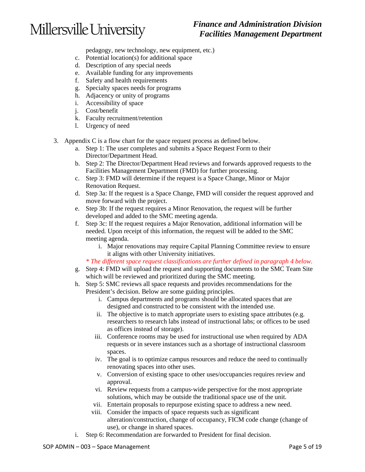### *Finance and Administration Division Facilities Management Department*

pedagogy, new technology, new equipment, etc.)

- c. Potential location(s) for additional space
- d. Description of any special needs
- e. Available funding for any improvements
- f. Safety and health requirements
- g. Specialty spaces needs for programs
- h. Adjacency or unity of programs
- i. Accessibility of space
- j. Cost/benefit
- k. Faculty recruitment/retention
- l. Urgency of need
- 3. Appendix C is a flow chart for the space request process as defined below.
	- a. Step 1: The user completes and submits a Space Request Form to their Director/Department Head.
	- b. Step 2: The Director/Department Head reviews and forwards approved requests to the Facilities Management Department (FMD) for further processing.
	- c. Step 3: FMD will determine if the request is a Space Change, Minor or Major Renovation Request.
	- d. Step 3a: If the request is a Space Change, FMD will consider the request approved and move forward with the project.
	- e. Step 3b: If the request requires a Minor Renovation, the request will be further developed and added to the SMC meeting agenda.
	- f. Step 3c: If the request requires a Major Renovation, additional information will be needed. Upon receipt of this information, the request will be added to the SMC meeting agenda.
		- i. Major renovations may require Capital Planning Committee review to ensure it aligns with other University initiatives.
		- *\* The different space request classifications are further defined in paragraph 4 below.*
	- g. Step 4: FMD will upload the request and supporting documents to the SMC Team Site which will be reviewed and prioritized during the SMC meeting.
	- h. Step 5: SMC reviews all space requests and provides recommendations for the President's decision. Below are some guiding principles.
		- i. Campus departments and programs should be allocated spaces that are designed and constructed to be consistent with the intended use.
		- ii. The objective is to match appropriate users to existing space attributes (e.g. researchers to research labs instead of instructional labs; or offices to be used as offices instead of storage).
		- iii. Conference rooms may be used for instructional use when required by ADA requests or in severe instances such as a shortage of instructional classroom spaces.
		- iv. The goal is to optimize campus resources and reduce the need to continually renovating spaces into other uses.
		- v. Conversion of existing space to other uses/occupancies requires review and approval.
		- vi. Review requests from a campus‐wide perspective for the most appropriate solutions, which may be outside the traditional space use of the unit.
		- vii. Entertain proposals to repurpose existing space to address a new need.
		- viii. Consider the impacts of space requests such as significant alteration/construction, change of occupancy, FICM code change (change of use), or change in shared spaces.
	- i. Step 6: Recommendation are forwarded to President for final decision.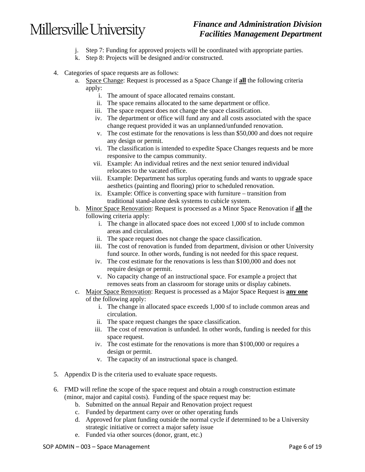### *Finance and Administration Division Facilities Management Department*

- j. Step 7: Funding for approved projects will be coordinated with appropriate parties.
- k. Step 8: Projects will be designed and/or constructed.
- 4. Categories of space requests are as follows:
	- a. Space Change: Request is processed as a Space Change if **all** the following criteria apply:
		- i. The amount of space allocated remains constant.
		- ii. The space remains allocated to the same department or office.
		- iii. The space request does not change the space classification.
		- iv. The department or office will fund any and all costs associated with the space change request provided it was an unplanned/unfunded renovation.
		- v. The cost estimate for the renovations is less than \$50,000 and does not require any design or permit.
		- vi. The classification is intended to expedite Space Changes requests and be more responsive to the campus community.
		- vii. Example: An individual retires and the next senior tenured individual relocates to the vacated office.
		- viii. Example: Department has surplus operating funds and wants to upgrade space aesthetics (painting and flooring) prior to scheduled renovation.
		- ix. Example: Office is converting space with furniture transition from traditional stand-alone desk systems to cubicle system.
	- b. Minor Space Renovation: Request is processed as a Minor Space Renovation if **all** the following criteria apply:
		- i. The change in allocated space does not exceed 1,000 sf to include common areas and circulation.
		- ii. The space request does not change the space classification.
		- iii. The cost of renovation is funded from department, division or other University fund source. In other words, funding is not needed for this space request.
		- iv. The cost estimate for the renovations is less than \$100,000 and does not require design or permit.
		- v. No capacity change of an instructional space. For example a project that removes seats from an classroom for storage units or display cabinets.
	- c. Major Space Renovation: Request is processed as a Major Space Request is **any one** of the following apply:
		- i. The change in allocated space exceeds 1,000 sf to include common areas and circulation.
		- ii. The space request changes the space classification.
		- iii. The cost of renovation is unfunded. In other words, funding is needed for this space request.
		- iv. The cost estimate for the renovations is more than \$100,000 or requires a design or permit.
		- v. The capacity of an instructional space is changed.
- 5. Appendix D is the criteria used to evaluate space requests.
- 6. FMD will refine the scope of the space request and obtain a rough construction estimate (minor, major and capital costs). Funding of the space request may be:
	- b. Submitted on the annual Repair and Renovation project request
	- c. Funded by department carry over or other operating funds
	- d. Approved for plant funding outside the normal cycle if determined to be a University strategic initiative or correct a major safety issue
	- e. Funded via other sources (donor, grant, etc.)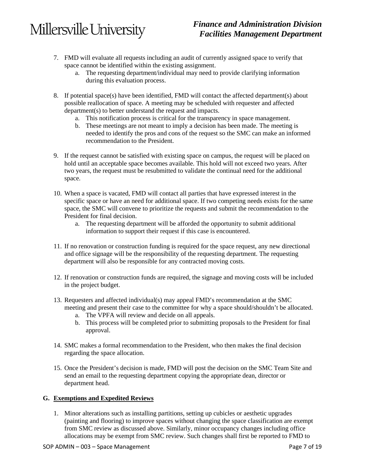### *Finance and Administration Division Facilities Management Department*

- 7. FMD will evaluate all requests including an audit of currently assigned space to verify that space cannot be identified within the existing assignment.
	- a. The requesting department/individual may need to provide clarifying information during this evaluation process.
- 8. If potential space(s) have been identified, FMD will contact the affected department(s) about possible reallocation of space. A meeting may be scheduled with requester and affected department(s) to better understand the request and impacts.
	- a. This notification process is critical for the transparency in space management.
	- b. These meetings are not meant to imply a decision has been made. The meeting is needed to identify the pros and cons of the request so the SMC can make an informed recommendation to the President.
- 9. If the request cannot be satisfied with existing space on campus, the request will be placed on hold until an acceptable space becomes available. This hold will not exceed two years. After two years, the request must be resubmitted to validate the continual need for the additional space.
- 10. When a space is vacated, FMD will contact all parties that have expressed interest in the specific space or have an need for additional space. If two competing needs exists for the same space, the SMC will convene to prioritize the requests and submit the recommendation to the President for final decision.
	- a. The requesting department will be afforded the opportunity to submit additional information to support their request if this case is encountered.
- 11. If no renovation or construction funding is required for the space request, any new directional and office signage will be the responsibility of the requesting department. The requesting department will also be responsible for any contracted moving costs.
- 12. If renovation or construction funds are required, the signage and moving costs will be included in the project budget.
- 13. Requesters and affected individual(s) may appeal FMD's recommendation at the SMC meeting and present their case to the committee for why a space should/shouldn't be allocated.
	- a. The VPFA will review and decide on all appeals.
	- b. This process will be completed prior to submitting proposals to the President for final approval.
- 14. SMC makes a formal recommendation to the President, who then makes the final decision regarding the space allocation.
- 15. Once the President's decision is made, FMD will post the decision on the SMC Team Site and send an email to the requesting department copying the appropriate dean, director or department head.

#### **G. Exemptions and Expedited Reviews**

1. Minor alterations such as installing partitions, setting up cubicles or aesthetic upgrades (painting and flooring) to improve spaces without changing the space classification are exempt from SMC review as discussed above. Similarly, minor occupancy changes including office allocations may be exempt from SMC review. Such changes shall first be reported to FMD to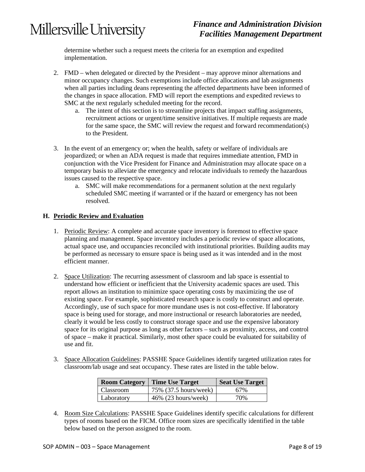### *Finance and Administration Division Facilities Management Department*

determine whether such a request meets the criteria for an exemption and expedited implementation.

- 2. FMD when delegated or directed by the President may approve minor alternations and minor occupancy changes. Such exemptions include office allocations and lab assignments when all parties including deans representing the affected departments have been informed of the changes in space allocation. FMD will report the exemptions and expedited reviews to SMC at the next regularly scheduled meeting for the record.
	- a. The intent of this section is to streamline projects that impact staffing assignments, recruitment actions or urgent/time sensitive initiatives. If multiple requests are made for the same space, the SMC will review the request and forward recommendation(s) to the President.
- 3. In the event of an emergency or; when the health, safety or welfare of individuals are jeopardized; or when an ADA request is made that requires immediate attention, FMD in conjunction with the Vice President for Finance and Administration may allocate space on a temporary basis to alleviate the emergency and relocate individuals to remedy the hazardous issues caused to the respective space.
	- a. SMC will make recommendations for a permanent solution at the next regularly scheduled SMC meeting if warranted or if the hazard or emergency has not been resolved.

#### **H. Periodic Review and Evaluation**

- 1. Periodic Review: A complete and accurate space inventory is foremost to effective space planning and management. Space inventory includes a periodic review of space allocations, actual space use, and occupancies reconciled with institutional priorities. Building audits may be performed as necessary to ensure space is being used as it was intended and in the most efficient manner.
- 2. Space Utilization: The recurring assessment of classroom and lab space is essential to understand how efficient or inefficient that the University academic spaces are used. This report allows an institution to minimize space operating costs by maximizing the use of existing space. For example, sophisticated research space is costly to construct and operate. Accordingly, use of such space for more mundane uses is not cost-effective. If laboratory space is being used for storage, and more instructional or research laboratories are needed, clearly it would be less costly to construct storage space and use the expensive laboratory space for its original purpose as long as other factors – such as proximity, access, and control of space – make it practical. Similarly, most other space could be evaluated for suitability of use and fit.
- 3. Space Allocation Guidelines: PASSHE Space Guidelines identify targeted utilization rates for classroom/lab usage and seat occupancy. These rates are listed in the table below.

| <b>Room Category</b> | Time Use Target        | <b>Seat Use Target</b> |
|----------------------|------------------------|------------------------|
| Classroom            | 75% (37.5 hours/week)  | 67%                    |
| Laboratory           | $46\%$ (23 hours/week) | 70%                    |

4. Room Size Calculations: PASSHE Space Guidelines identify specific calculations for different types of rooms based on the FICM. Office room sizes are specifically identified in the table below based on the person assigned to the room.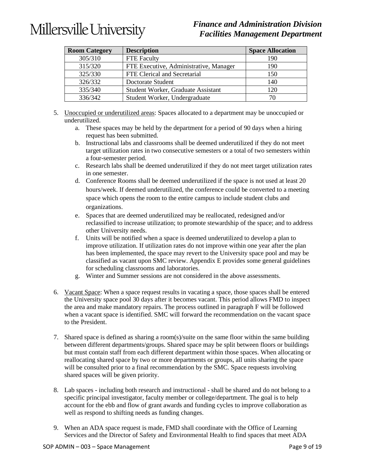### *Finance and Administration Division Facilities Management Department*

| <b>Room Category</b> | <b>Description</b>                     | <b>Space Allocation</b> |
|----------------------|----------------------------------------|-------------------------|
| 305/310              | <b>FTE</b> Faculty                     | 190                     |
| 315/320              | FTE Executive, Administrative, Manager | 190                     |
| 325/330              | FTE Clerical and Secretarial           | 150                     |
| 326/332              | Doctorate Student                      | 140                     |
| 335/340              | Student Worker, Graduate Assistant     | 120                     |
| 336/342              | Student Worker, Undergraduate          | 70                      |

- 5. Unoccupied or underutilized areas: Spaces allocated to a department may be unoccupied or underutilized.
	- a. These spaces may be held by the department for a period of 90 days when a hiring request has been submitted.
	- b. Instructional labs and classrooms shall be deemed underutilized if they do not meet target utilization rates in two consecutive semesters or a total of two semesters within a four-semester period.
	- c. Research labs shall be deemed underutilized if they do not meet target utilization rates in one semester.
	- d. Conference Rooms shall be deemed underutilized if the space is not used at least 20 hours/week. If deemed underutilized, the conference could be converted to a meeting space which opens the room to the entire campus to include student clubs and organizations.
	- e. Spaces that are deemed underutilized may be reallocated, redesigned and/or reclassified to increase utilization; to promote stewardship of the space; and to address other University needs.
	- f. Units will be notified when a space is deemed underutilized to develop a plan to improve utilization. If utilization rates do not improve within one year after the plan has been implemented, the space may revert to the University space pool and may be classified as vacant upon SMC review. Appendix E provides some general guidelines for scheduling classrooms and laboratories.
	- g. Winter and Summer sessions are not considered in the above assessments.
- 6. Vacant Space: When a space request results in vacating a space, those spaces shall be entered the University space pool 30 days after it becomes vacant. This period allows FMD to inspect the area and make mandatory repairs. The process outlined in paragraph F will be followed when a vacant space is identified. SMC will forward the recommendation on the vacant space to the President.
- 7. Shared space is defined as sharing a room(s)/suite on the same floor within the same building between different departments/groups. Shared space may be split between floors or buildings but must contain staff from each different department within those spaces. When allocating or reallocating shared space by two or more departments or groups, all units sharing the space will be consulted prior to a final recommendation by the SMC. Space requests involving shared spaces will be given priority.
- 8. Lab spaces including both research and instructional shall be shared and do not belong to a specific principal investigator, faculty member or college/department. The goal is to help account for the ebb and flow of grant awards and funding cycles to improve collaboration as well as respond to shifting needs as funding changes.
- 9. When an ADA space request is made, FMD shall coordinate with the Office of Learning Services and the Director of Safety and Environmental Health to find spaces that meet ADA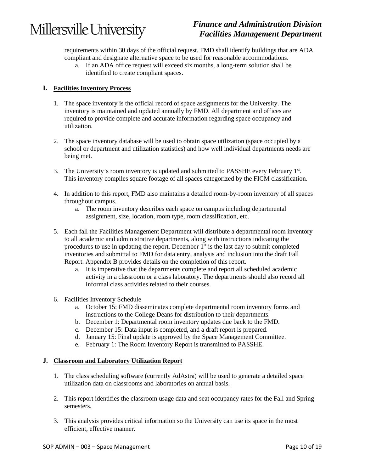### *Finance and Administration Division Facilities Management Department*

requirements within 30 days of the official request. FMD shall identify buildings that are ADA compliant and designate alternative space to be used for reasonable accommodations.

a. If an ADA office request will exceed six months, a long-term solution shall be identified to create compliant spaces.

#### **I. Facilities Inventory Process**

- 1. The space inventory is the official record of space assignments for the University. The inventory is maintained and updated annually by FMD. All department and offices are required to provide complete and accurate information regarding space occupancy and utilization.
- 2. The space inventory database will be used to obtain space utilization (space occupied by a school or department and utilization statistics) and how well individual departments needs are being met.
- 3. The University's room inventory is updated and submitted to PASSHE every February 1st. This inventory compiles square footage of all spaces categorized by the FICM classification.
- 4. In addition to this report, FMD also maintains a detailed room-by-room inventory of all spaces throughout campus.
	- a. The room inventory describes each space on campus including departmental assignment, size, location, room type, room classification, etc.
- 5. Each fall the Facilities Management Department will distribute a departmental room inventory to all academic and administrative departments, along with instructions indicating the procedures to use in updating the report. December  $1<sup>st</sup>$  is the last day to submit completed inventories and submittal to FMD for data entry, analysis and inclusion into the draft Fall Report. Appendix B provides details on the completion of this report.
	- a. It is imperative that the departments complete and report all scheduled academic activity in a classroom or a class laboratory. The departments should also record all informal class activities related to their courses.
- 6. Facilities Inventory Schedule
	- a. October 15: FMD disseminates complete departmental room inventory forms and instructions to the College Deans for distribution to their departments.
	- b. December 1: Departmental room inventory updates due back to the FMD.
	- c. December 15: Data input is completed, and a draft report is prepared.
	- d. January 15: Final update is approved by the Space Management Committee.
	- e. February 1: The Room Inventory Report is transmitted to PASSHE.

#### **J. Classroom and Laboratory Utilization Report**

- 1. The class scheduling software (currently AdAstra) will be used to generate a detailed space utilization data on classrooms and laboratories on annual basis.
- 2. This report identifies the classroom usage data and seat occupancy rates for the Fall and Spring semesters.
- 3. This analysis provides critical information so the University can use its space in the most efficient, effective manner.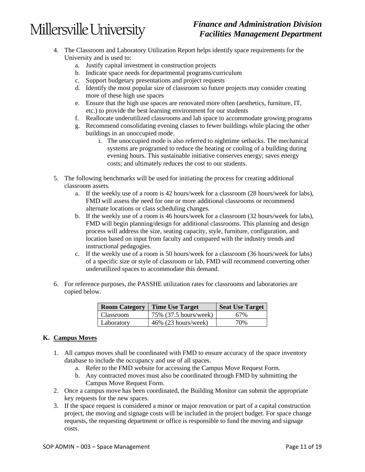### *Finance and Administration Division Facilities Management Department*

- 4. The Classroom and Laboratory Utilization Report helps identify space requirements for the University and is used to:
	- a. Justify capital investment in construction projects
	- b. Indicate space needs for departmental programs/curriculum
	- c. Support budgetary presentations and project requests
	- d. Identify the most popular size of classroom so future projects may consider creating more of these high use spaces
	- e. Ensure that the high use spaces are renovated more often (aesthetics, furniture, IT, etc.) to provide the best learning environment for our students
	- f. Reallocate underutilized classrooms and lab space to accommodate growing programs
	- g. Recommend consolidating evening classes to fewer buildings while placing the other buildings in an unoccupied mode.
		- i. The unoccupied mode is also referred to nighttime setbacks. The mechanical systems are programed to reduce the heating or cooling of a building during evening hours. This sustainable initiative conserves energy; saves energy costs; and ultimately reduces the cost to our students.
- 5. The following benchmarks will be used for initiating the process for creating additional classroom assets.
	- a. If the weekly use of a room is 42 hours/week for a classroom (28 hours/week for labs), FMD will assess the need for one or more additional classrooms or recommend alternate locations or class scheduling changes.
	- b. If the weekly use of a room is 46 hours/week for a classroom (32 hours/week for labs), FMD will begin planning/design for additional classrooms. This planning and design process will address the size, seating capacity, style, furniture, configuration, and location based on input from faculty and compared with the industry trends and instructional pedagogies.
	- c. If the weekly use of a room is 50 hours/week for a classroom (36 hours/week for labs) of a specific size or style of classroom or lab, FMD will recommend converting other underutilized spaces to accommodate this demand.
- 6. For reference purposes, the PASSHE utilization rates for classrooms and laboratories are copied below.

| <b>Room Category</b> | <b>Time Use Target</b> | <b>Seat Use Target</b> |
|----------------------|------------------------|------------------------|
| Classroom            | 75% (37.5 hours/week)  | 67%                    |
| Laboratory           | $46\%$ (23 hours/week) | 70%                    |

#### **K. Campus Moves**

- 1. All campus moves shall be coordinated with FMD to ensure accuracy of the space inventory database to include the occupancy and use of all spaces.
	- a. Refer to the FMD website for accessing the Campus Move Request Form.
	- b. Any contracted moves must also be coordinated through FMD by submitting the Campus Move Request Form.
- 2. Once a campus move has been coordinated, the Building Monitor can submit the appropriate key requests for the new spaces.
- 3. If the space request is considered a minor or major renovation or part of a capital construction project, the moving and signage costs will be included in the project budget. For space change requests, the requesting department or office is responsible to fund the moving and signage costs.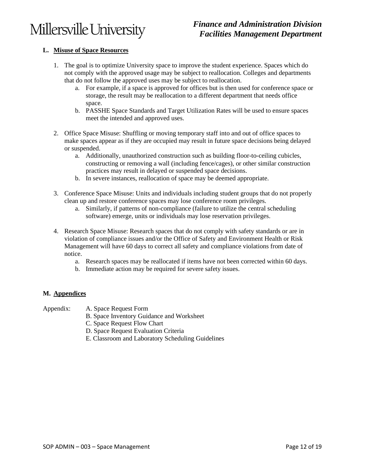### *Finance and Administration Division Facilities Management Department*

#### **L. Misuse of Space Resources**

- 1. The goal is to optimize University space to improve the student experience. Spaces which do not comply with the approved usage may be subject to reallocation. Colleges and departments that do not follow the approved uses may be subject to reallocation.
	- a. For example, if a space is approved for offices but is then used for conference space or storage, the result may be reallocation to a different department that needs office space.
	- b. PASSHE Space Standards and Target Utilization Rates will be used to ensure spaces meet the intended and approved uses.
- 2. Office Space Misuse: Shuffling or moving temporary staff into and out of office spaces to make spaces appear as if they are occupied may result in future space decisions being delayed or suspended.
	- a. Additionally, unauthorized construction such as building floor-to-ceiling cubicles, constructing or removing a wall (including fence/cages), or other similar construction practices may result in delayed or suspended space decisions.
	- b. In severe instances, reallocation of space may be deemed appropriate.
- 3. Conference Space Misuse: Units and individuals including student groups that do not properly clean up and restore conference spaces may lose conference room privileges.
	- a. Similarly, if patterns of non-compliance (failure to utilize the central scheduling software) emerge, units or individuals may lose reservation privileges.
- 4. Research Space Misuse: Research spaces that do not comply with safety standards or are in violation of compliance issues and/or the Office of Safety and Environment Health or Risk Management will have 60 days to correct all safety and compliance violations from date of notice.
	- a. Research spaces may be reallocated if items have not been corrected within 60 days.
	- b. Immediate action may be required for severe safety issues.

#### **M. Appendices**

Appendix: A. Space Request Form

- B. Space Inventory Guidance and Worksheet
- C. Space Request Flow Chart
- D. Space Request Evaluation Criteria
- E. Classroom and Laboratory Scheduling Guidelines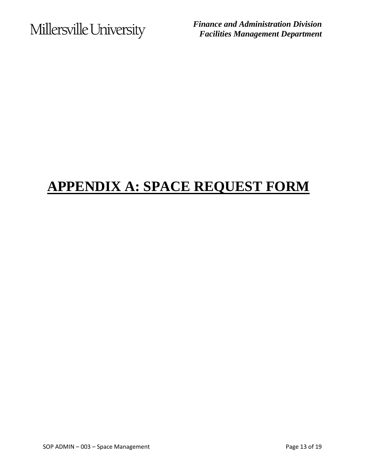*Finance and Administration Division Facilities Management Department*

## **APPENDIX A: SPACE REQUEST FORM**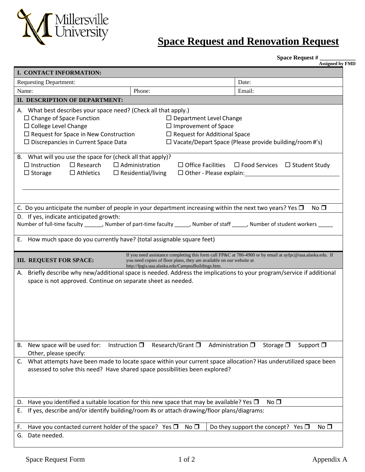

### **Space Request and Renovation Request**

**Space Request # \_\_\_\_\_\_\_\_\_\_\_\_**

|                                                                                                                                                                                                                                                                                                                                                                                 |                                                                                                                                                                                                                     | <b>Assigned by FMD</b>                                                                                                                                       |
|---------------------------------------------------------------------------------------------------------------------------------------------------------------------------------------------------------------------------------------------------------------------------------------------------------------------------------------------------------------------------------|---------------------------------------------------------------------------------------------------------------------------------------------------------------------------------------------------------------------|--------------------------------------------------------------------------------------------------------------------------------------------------------------|
| I. CONTACT INFORMATION:                                                                                                                                                                                                                                                                                                                                                         |                                                                                                                                                                                                                     |                                                                                                                                                              |
| <b>Requesting Department:</b>                                                                                                                                                                                                                                                                                                                                                   |                                                                                                                                                                                                                     | Date:                                                                                                                                                        |
| Name:                                                                                                                                                                                                                                                                                                                                                                           | Phone:                                                                                                                                                                                                              | Email:                                                                                                                                                       |
| <b>II. DESCRIPTION OF DEPARTMENT:</b>                                                                                                                                                                                                                                                                                                                                           |                                                                                                                                                                                                                     |                                                                                                                                                              |
| A. What best describes your space need? (Check all that apply.)<br>$\Box$ Change of Space Function<br>$\Box$ College Level Change<br>$\Box$ Request for Space in New Construction<br>$\square$ Discrepancies in Current Space Data<br>B. What will you use the space for (check all that apply)?<br>$\Box$ Instruction<br>$\Box$ Research<br>$\Box$ Athletics<br>$\Box$ Storage | $\Box$ Department Level Change<br>$\Box$ Improvement of Space<br>$\Box$ Request for Additional Space<br>$\Box$ Administration<br>$\Box$ Office Facilities<br>$\Box$ Residential/living<br>□ Other - Please explain: | $\Box$ Vacate/Depart Space (Please provide building/room #'s)<br>$\Box$ Food Services $\Box$ Student Study<br><u>and the state of the state of the state</u> |
| C. Do you anticipate the number of people in your department increasing within the next two years? Yes $\Box$<br>D. If yes, indicate anticipated growth:<br>E. How much space do you currently have? (total assignable square feet)                                                                                                                                             |                                                                                                                                                                                                                     | No <sup>T</sup><br>Number of full-time faculty ______, Number of part-time faculty _____, Number of staff ____, Number of student workers ____               |
| <b>III. REQUEST FOR SPACE:</b>                                                                                                                                                                                                                                                                                                                                                  | you need copies of floor plans, they are available on our website at                                                                                                                                                | If you need assistance completing this form call FP&C at 786-4900 or by email at ayfpc@uaa.alaska.edu. If                                                    |
| space is not approved. Continue on separate sheet as needed.                                                                                                                                                                                                                                                                                                                    | http://fpgis.uaa.alaska.edu/CampusBuildings.htm.                                                                                                                                                                    | A. Briefly describe why new/additional space is needed. Address the implications to your program/service if additional                                       |
| New space will be used for:<br><b>B.</b>                                                                                                                                                                                                                                                                                                                                        | Research/Grant □<br>Instruction $\square$                                                                                                                                                                           | Administration $\square$<br>Storage $\square$<br>Support $\square$                                                                                           |
| Other, please specify:                                                                                                                                                                                                                                                                                                                                                          |                                                                                                                                                                                                                     |                                                                                                                                                              |
|                                                                                                                                                                                                                                                                                                                                                                                 | assessed to solve this need? Have shared space possibilities been explored?                                                                                                                                         | C. What attempts have been made to locate space within your current space allocation? Has underutilized space been                                           |
|                                                                                                                                                                                                                                                                                                                                                                                 |                                                                                                                                                                                                                     |                                                                                                                                                              |
| D.<br>Е.                                                                                                                                                                                                                                                                                                                                                                        | Have you identified a suitable location for this new space that may be available? Yes $\Box$<br>If yes, describe and/or identify building/room #s or attach drawing/floor plans/diagrams:                           | No <sub>D</sub>                                                                                                                                              |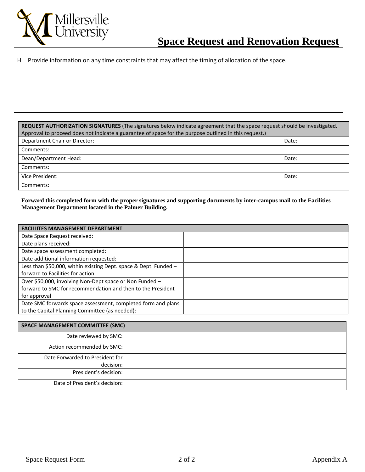

|  | H. Provide information on any time constraints that may affect the timing of allocation of the space. |  |  |  |
|--|-------------------------------------------------------------------------------------------------------|--|--|--|
|--|-------------------------------------------------------------------------------------------------------|--|--|--|

**REQUEST AUTHORIZATION SIGNATURES** (The signatures below indicate agreement that the space request should be investigated. Approval to proceed does not indicate a guarantee of space for the purpose outlined in this request.)

| Department Chair or Director: | Date: |
|-------------------------------|-------|
| Comments:                     |       |
| Dean/Department Head:         | Date: |
| Comments:                     |       |
| Vice President:               | Date: |
| Comments:                     |       |

**Forward this completed form with the proper signatures and supporting documents by inter-campus mail to the Facilities Management Department located in the Palmer Building.**

| <b>FACILIITES MANAGEMENT DEPARTMENT</b>                          |  |
|------------------------------------------------------------------|--|
| Date Space Request received:                                     |  |
| Date plans received:                                             |  |
| Date space assessment completed:                                 |  |
| Date additional information requested:                           |  |
| Less than \$50,000, within existing Dept. space & Dept. Funded - |  |
| forward to Facilities for action                                 |  |
| Over \$50,000, involving Non-Dept space or Non Funded -          |  |
| forward to SMC for recommendation and then to the President      |  |
| for approval                                                     |  |
| Date SMC forwards space assessment, completed form and plans     |  |
| to the Capital Planning Committee (as needed):                   |  |

| <b>SPACE MANAGEMENT COMMITTEE (SMC)</b> |  |
|-----------------------------------------|--|
| Date reviewed by SMC:                   |  |
| Action recommended by SMC:              |  |
| Date Forwarded to President for         |  |
| decision:                               |  |
| President's decision:                   |  |
| Date of President's decision:           |  |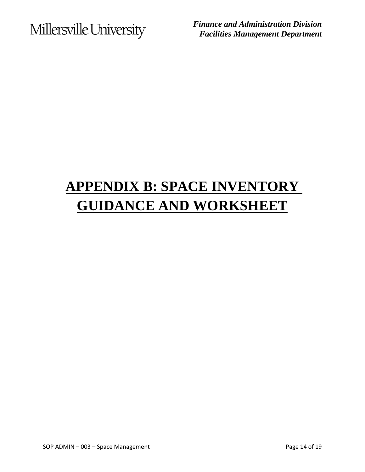*Finance and Administration Division Facilities Management Department*

# **APPENDIX B: SPACE INVENTORY GUIDANCE AND WORKSHEET**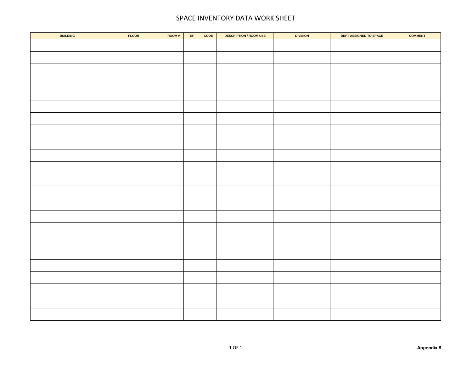#### SPACE INVENTORY DATA WORK SHEET

| <b>BUILDING</b> | <b>FLOOR</b> | ROOM# | $\ensuremath{\mathsf{SF}}\xspace$ | $\mathsf{CODE}$ | <b>DESCRIPTION / ROOM USE</b> | <b>DIVISION</b> | DEPT ASSIGNED TO SPACE | <b>COMMENT</b> |
|-----------------|--------------|-------|-----------------------------------|-----------------|-------------------------------|-----------------|------------------------|----------------|
|                 |              |       |                                   |                 |                               |                 |                        |                |
|                 |              |       |                                   |                 |                               |                 |                        |                |
|                 |              |       |                                   |                 |                               |                 |                        |                |
|                 |              |       |                                   |                 |                               |                 |                        |                |
|                 |              |       |                                   |                 |                               |                 |                        |                |
|                 |              |       |                                   |                 |                               |                 |                        |                |
|                 |              |       |                                   |                 |                               |                 |                        |                |
|                 |              |       |                                   |                 |                               |                 |                        |                |
|                 |              |       |                                   |                 |                               |                 |                        |                |
|                 |              |       |                                   |                 |                               |                 |                        |                |
|                 |              |       |                                   |                 |                               |                 |                        |                |
|                 |              |       |                                   |                 |                               |                 |                        |                |
|                 |              |       |                                   |                 |                               |                 |                        |                |
|                 |              |       |                                   |                 |                               |                 |                        |                |
|                 |              |       |                                   |                 |                               |                 |                        |                |
|                 |              |       |                                   |                 |                               |                 |                        |                |
|                 |              |       |                                   |                 |                               |                 |                        |                |
|                 |              |       |                                   |                 |                               |                 |                        |                |
|                 |              |       |                                   |                 |                               |                 |                        |                |
|                 |              |       |                                   |                 |                               |                 |                        |                |
|                 |              |       |                                   |                 |                               |                 |                        |                |
|                 |              |       |                                   |                 |                               |                 |                        |                |
|                 |              |       |                                   |                 |                               |                 |                        |                |
|                 |              |       |                                   |                 |                               |                 |                        |                |
|                 |              |       |                                   |                 |                               |                 |                        |                |
|                 |              |       |                                   |                 |                               |                 |                        |                |
|                 |              |       |                                   |                 |                               |                 |                        |                |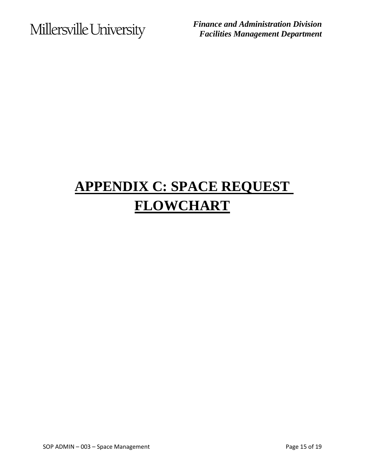*Finance and Administration Division Facilities Management Department*

# **APPENDIX C: SPACE REQUEST FLOWCHART**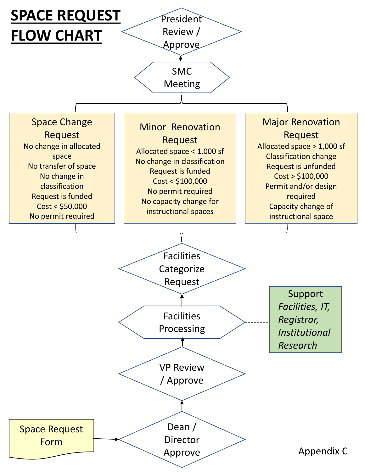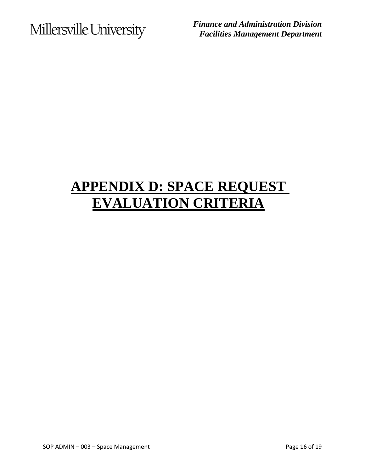*Finance and Administration Division Facilities Management Department*

# **APPENDIX D: SPACE REQUEST EVALUATION CRITERIA**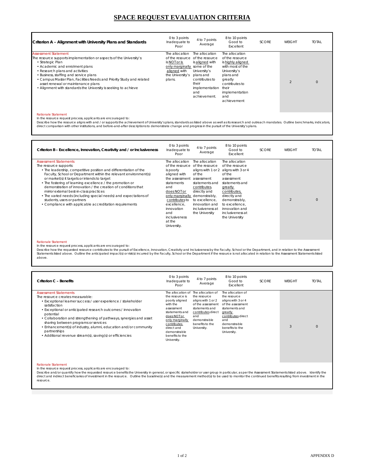### **SPACE REQUEST EVALUATION CRITERIA**

| Criterion A - Alignment with University Plans and Standards                                                                                                                                                                                                                                                                                                                                                              | 0 to 3 points<br>Inadequate to<br>Poor                                                                      | 4 to 7 points<br>Average                                                                                                                                              | 8 to 10 points<br>Good to<br>Excellent                                                                                                                                                | <b>SCORE</b> | WFIGHT         | TOTAL    |
|--------------------------------------------------------------------------------------------------------------------------------------------------------------------------------------------------------------------------------------------------------------------------------------------------------------------------------------------------------------------------------------------------------------------------|-------------------------------------------------------------------------------------------------------------|-----------------------------------------------------------------------------------------------------------------------------------------------------------------------|---------------------------------------------------------------------------------------------------------------------------------------------------------------------------------------|--------------|----------------|----------|
| <b>Assessment Statement</b><br>The resource supports implementation or aspects of the University's:<br>• Strategic Plan<br>• Academic and enrolment plans<br>• Research plans and activities<br>• Business, staffing and service plans<br>• Campus Master Plan, Facilities Needs and Priority Study and related<br>asset renewal or maintenance plans<br>• Alignment with standards the University is seeking to achieve | The allocation<br>is NOT or is<br>only marginally some of the<br>aligned with<br>the University's<br>plans. | The allocation<br>of the resource of the resource<br>is aligned with<br>University's<br>plans and<br>contributes to<br>their<br>implementation<br>and<br>achievement. | The allocation<br>of the resource<br>is highly aligned<br>with most of the<br>University's<br>plans and<br>greatly<br>contributes to<br>their<br>implementation<br>and<br>achievement |              | $\mathfrak{D}$ | $\Omega$ |

#### Rationale Statement

In the resource request process, applicants are encouraged to:<br>Describe how the resource aligns with and / or supports the achievement of University's plans, standards as listed above as well as its research and outreach m

| Criterion B – Excellence, Innovation, Creativity and / or Inclusiveness                                                                                                                                                                                                                                                                                                                                                                                                                                                                                                                | 0 to 3 points<br>Inadequate to<br>Poor                                                                                                                                                                                                                | 4 to 7 points<br>Average                                                                                                                                                                                    | 8 to 10 points<br>Good to<br>Excellent                                                                                                                                                                                                  | <b>SCORE</b> | <b>WEIGHT</b>  | <b>TOTAL</b> |
|----------------------------------------------------------------------------------------------------------------------------------------------------------------------------------------------------------------------------------------------------------------------------------------------------------------------------------------------------------------------------------------------------------------------------------------------------------------------------------------------------------------------------------------------------------------------------------------|-------------------------------------------------------------------------------------------------------------------------------------------------------------------------------------------------------------------------------------------------------|-------------------------------------------------------------------------------------------------------------------------------------------------------------------------------------------------------------|-----------------------------------------------------------------------------------------------------------------------------------------------------------------------------------------------------------------------------------------|--------------|----------------|--------------|
| <b>Assessment Statements</b><br>The resource supports:<br>• The leadership, competitive position and differentiation of the<br>Faculty, School or Department within the relevant environment(s)<br>or market(s) it targets or intends to target<br>• The fostering of learning excellence / the promotion or<br>demonstration of innovation / the creation of conditions that<br>mirror external best-in-class practices<br>• The varied needs (including special needs) and expectations of<br>students, users or partners<br>• Compliance with applicable accreditation requirements | The allocation<br>of the resource<br>is poorly<br>aligned with<br>the assessment<br>statements<br>and<br>does NOT or<br>only marginally demonstrably,<br>contributes to<br>excellence.<br>innovation<br>and<br>inclusiveness<br>at the<br>University. | The allocation<br>of the resource<br>aligns with 1 or 2<br>of the<br>assessment<br>statements and<br>contributes,<br>directly and<br>to excellence.<br>innovation and<br>inclusiveness at<br>the University | The allocation<br>of the resource<br>aligns with 3 or 4<br>of the<br>assessment<br>statements and<br>greatly<br>contributes,<br>directly and<br>demonstrably,<br>to excellence.<br>innovation and<br>inclusiveness at<br>the University |              | $\overline{2}$ | $\Omega$     |

#### Rationale Statement

In the resource request process, applicants are encouraged to:

Describe how the requested resource contributes to the pursuit of Excellence, Innovation, Creativity and Inclusiveness by the Faculty, School or the Department, and in relation to the Assessment Statement<br>Statements listed above.

| Criterion C - Benefits                                                                                                                                                                                                                                                                                                                                                                                                                                                                       | 0 to 3 points<br>Inadequate to<br>Poor                                                                                                                                                                              | 4 to 7 points<br>Average                                                                                                                                                      | 8 to 10 points<br>Good to<br>Excellent                                                                                                                                                   | <b>SCORE</b> | <b>WFIGHT</b> | <b>IATOT</b> |
|----------------------------------------------------------------------------------------------------------------------------------------------------------------------------------------------------------------------------------------------------------------------------------------------------------------------------------------------------------------------------------------------------------------------------------------------------------------------------------------------|---------------------------------------------------------------------------------------------------------------------------------------------------------------------------------------------------------------------|-------------------------------------------------------------------------------------------------------------------------------------------------------------------------------|------------------------------------------------------------------------------------------------------------------------------------------------------------------------------------------|--------------|---------------|--------------|
| <b>Assessment Statements</b><br>The resource creates measurable:<br>• Exceptional learner success / user experience / stakeholder<br>satisfaction<br>• Exceptional or anticipated research outcomes / innovation<br>potential<br>• Collaboration and strengthening of pathways, synergies and asset<br>sharing between programs or services<br>• Enhancement(s) of industry, alumni, education and/or community<br>partnerships<br>• Additional revenue stream(s), saving(s) or efficiencies | The allocation of<br>the resource is<br>poorly aligned<br>with the<br>assessment<br>statements and<br>does NOT or<br>only marginally<br>contributes<br>direct and<br>demonstrable<br>benefits to the<br>University. | The allocation of<br>the resource<br>aligns with 1 or 2<br>of the assessment<br>statements and<br>contributes direct<br>and<br>demonstrable<br>benefits to the<br>University. | The allocation of<br>the resource<br>aligns with 3 or 4<br>of the assessment<br>statements and<br>greatly<br>contributes direct<br>and<br>demonstrable<br>benefits to the<br>University. |              | 3             | $\Omega$     |

#### Rationale Statement

In the resource request process, applicants are encouraged to:

Describe and/or quantify how the requested resource benefits the University in general, or specific stakeholder or user group in particular, as per the Assessment Statements listed above. Identify the direct and indirect beneficiaries of investment in the resource. Outline the baseline(s) and the measurement method(s) to be used to monitor the continued benefits resulting from investment in the resource.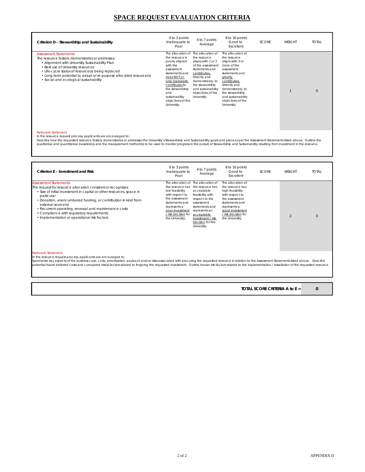### **SPACE REQUEST EVALUATION CRITERIA**

| Criterion D - Stewardship and Sustainability                                                                                                                                                                                                                                                                                                                                                                                                                                                           | 0 to 3 points<br>Inadequate to<br>Poor                                                                                                                                                                            | 4 to 7 points<br>Average                                                                                                                                                                                                                            | 8 to 10 points<br>Good to<br>Excellent                                                                                                                                                                                                          | <b>SCORE</b> | <b>WEIGHT</b>  | <b>TOTAL</b>   |
|--------------------------------------------------------------------------------------------------------------------------------------------------------------------------------------------------------------------------------------------------------------------------------------------------------------------------------------------------------------------------------------------------------------------------------------------------------------------------------------------------------|-------------------------------------------------------------------------------------------------------------------------------------------------------------------------------------------------------------------|-----------------------------------------------------------------------------------------------------------------------------------------------------------------------------------------------------------------------------------------------------|-------------------------------------------------------------------------------------------------------------------------------------------------------------------------------------------------------------------------------------------------|--------------|----------------|----------------|
| <b>Assessment Statements</b><br>The resource fosters, demonstrates or addresses:<br>• Alignment with University Sustainability Plan<br>• Best use of University resources<br>• Life-cycle status of resource(s) being replaced<br>• Long-term potential to adapt or re-purpose allocated resource(s)<br>· Social and ecological sustainability                                                                                                                                                         | the resource is<br>poorly aligned<br>with the<br>assessment<br>statements and<br>does NOT or<br>only marginally<br>contributes to<br>the stewardship<br>and<br>sustainability<br>objectives of the<br>University. | The allocation of The allocation of<br>the resource<br>aligns with 1 or 2<br>of the assessment<br>statements and<br>contributes,<br>directly and<br>demonstrably, to<br>the stewardship<br>and sustainability<br>objectives of the<br>University    | The allocation of<br>the resource<br>aligns with 3 or<br>more of the<br>assessment<br>statements and<br>greatly<br>contributes,<br>directly and<br>demonstrably, to<br>the stewardship<br>and sustainability<br>objectives of the<br>University |              | $\mathbf{1}$   | $\overline{0}$ |
| <b>Rationale Statement</b><br>In the resource request process, applicants are encouraged to:<br>Describe how the requested resource fosters, demonstrates or addresses the University's Stewardship and Sustainability goals and plans as per the Assessment Statements listed above. Outline the<br>qualitative and quantitative baseline(s) and the measurement method(s) to be used to monitor progress in the pursuit of Stewardship and Sustainability resulting from investment in the resource. |                                                                                                                                                                                                                   |                                                                                                                                                                                                                                                     |                                                                                                                                                                                                                                                 |              |                |                |
|                                                                                                                                                                                                                                                                                                                                                                                                                                                                                                        |                                                                                                                                                                                                                   |                                                                                                                                                                                                                                                     |                                                                                                                                                                                                                                                 |              |                |                |
| Criterion E - Investment and Risk                                                                                                                                                                                                                                                                                                                                                                                                                                                                      | 0 to 3 points<br>Inadequate to<br>Poor                                                                                                                                                                            | 4 to 7 points<br>Average                                                                                                                                                                                                                            | 8 to 10 points<br>Good to<br>Excellent                                                                                                                                                                                                          | <b>SCORE</b> | <b>WEIGHT</b>  | <b>TOTAL</b>   |
| <b>Assessment Statements</b><br>The request for resource allocation considers or recognizes:<br>· Size of initial investment in capital or other resources, space in<br>particular<br>• Donation, unencumbered funding, or contribution in kind from<br>external source(s)<br>• Recurrent operating, renewal and maintenance costs<br>• Compliance with regulatory requirements<br>· Implementation or operational risk factors                                                                        | low feasibility<br>with respect to<br>the assessment<br>statements and<br>represents a<br>poor investment<br>/ risk decision for<br>the University.                                                               | The allocation of The allocation of<br>the resource has the resource has<br>acceptable<br>feasibility with<br>respect to the<br>assessment<br>statements and<br>represents an<br>acceptable<br>investment / risk<br>decision for the<br>University. | The allocation of<br>the resource has<br>high feasibility<br>with respect to<br>the assessment<br>statements and<br>represents a<br>good investment<br>/ risk decision for<br>the University.                                                   |              | $\mathfrak{D}$ | $\Omega$       |

#### Rationale Statement

In the resource request process, applicants are encouraged to:<br>Summarize key aspects of the business case, costs, amortization, payback and/or risks associated with procuring the requested resource in relation to the Asses

**TOTAL SCORE CRITERIA A to E =** 

**0**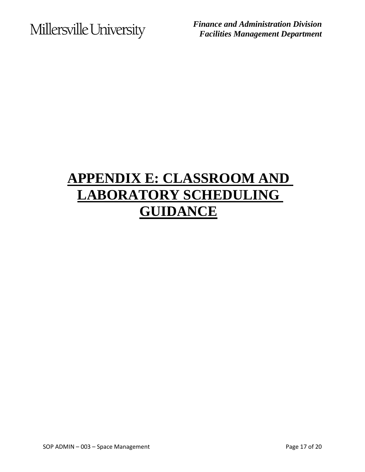*Finance and Administration Division Facilities Management Department*

## **APPENDIX E: CLASSROOM AND LABORATORY SCHEDULING GUIDANCE**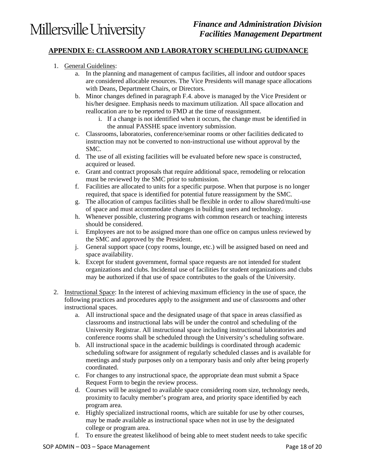### **APPENDIX E: CLASSROOM AND LABORATORY SCHEDULING GUIDNANCE**

- 1. General Guidelines:
	- a. In the planning and management of campus facilities, all indoor and outdoor spaces are considered allocable resources. The Vice Presidents will manage space allocations with Deans, Department Chairs, or Directors.
	- b. Minor changes defined in paragraph F.4. above is managed by the Vice President or his/her designee. Emphasis needs to maximum utilization. All space allocation and reallocation are to be reported to FMD at the time of reassignment.
		- i. If a change is not identified when it occurs, the change must be identified in the annual PASSHE space inventory submission.
	- c. Classrooms, laboratories, conference/seminar rooms or other facilities dedicated to instruction may not be converted to non-instructional use without approval by the SMC.
	- d. The use of all existing facilities will be evaluated before new space is constructed, acquired or leased.
	- e. Grant and contract proposals that require additional space, remodeling or relocation must be reviewed by the SMC prior to submission.
	- f. Facilities are allocated to units for a specific purpose. When that purpose is no longer required, that space is identified for potential future reassignment by the SMC.
	- g. The allocation of campus facilities shall be flexible in order to allow shared/multi-use of space and must accommodate changes in building users and technology.
	- h. Whenever possible, clustering programs with common research or teaching interests should be considered.
	- i. Employees are not to be assigned more than one office on campus unless reviewed by the SMC and approved by the President.
	- j. General support space (copy rooms, lounge, etc.) will be assigned based on need and space availability.
	- k. Except for student government, formal space requests are not intended for student organizations and clubs. Incidental use of facilities for student organizations and clubs may be authorized if that use of space contributes to the goals of the University.
- 2. Instructional Space: In the interest of achieving maximum efficiency in the use of space, the following practices and procedures apply to the assignment and use of classrooms and other instructional spaces.
	- a. All instructional space and the designated usage of that space in areas classified as classrooms and instructional labs will be under the control and scheduling of the University Registrar. All instructional space including instructional laboratories and conference rooms shall be scheduled through the University's scheduling software.
	- b. All instructional space in the academic buildings is coordinated through academic scheduling software for assignment of regularly scheduled classes and is available for meetings and study purposes only on a temporary basis and only after being properly coordinated.
	- c. For changes to any instructional space, the appropriate dean must submit a Space Request Form to begin the review process.
	- d. Courses will be assigned to available space considering room size, technology needs, proximity to faculty member's program area, and priority space identified by each program area.
	- e. Highly specialized instructional rooms, which are suitable for use by other courses, may be made available as instructional space when not in use by the designated college or program area.
	- f. To ensure the greatest likelihood of being able to meet student needs to take specific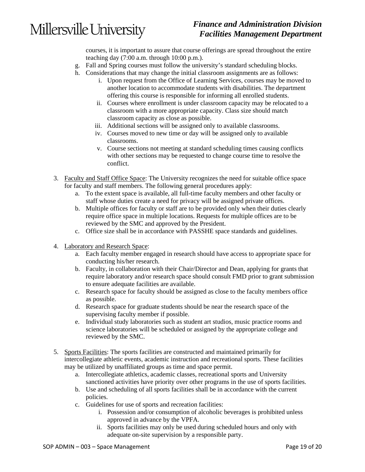### *Finance and Administration Division Facilities Management Department*

courses, it is important to assure that course offerings are spread throughout the entire teaching day (7:00 a.m. through 10:00 p.m.).

- g. Fall and Spring courses must follow the university's standard scheduling blocks.
- h. Considerations that may change the initial classroom assignments are as follows:
	- i. Upon request from the Office of Learning Services, courses may be moved to another location to accommodate students with disabilities. The department offering this course is responsible for informing all enrolled students.
	- ii. Courses where enrollment is under classroom capacity may be relocated to a classroom with a more appropriate capacity. Class size should match classroom capacity as close as possible.
	- iii. Additional sections will be assigned only to available classrooms.
	- iv. Courses moved to new time or day will be assigned only to available classrooms.
	- v. Course sections not meeting at standard scheduling times causing conflicts with other sections may be requested to change course time to resolve the conflict.
- 3. Faculty and Staff Office Space: The University recognizes the need for suitable office space for faculty and staff members. The following general procedures apply:
	- a. To the extent space is available, all full-time faculty members and other faculty or staff whose duties create a need for privacy will be assigned private offices.
	- b. Multiple offices for faculty or staff are to be provided only when their duties clearly require office space in multiple locations. Requests for multiple offices are to be reviewed by the SMC and approved by the President.
	- c. Office size shall be in accordance with PASSHE space standards and guidelines.
- 4. Laboratory and Research Space:
	- a. Each faculty member engaged in research should have access to appropriate space for conducting his/her research.
	- b. Faculty, in collaboration with their Chair/Director and Dean, applying for grants that require laboratory and/or research space should consult FMD prior to grant submission to ensure adequate facilities are available.
	- c. Research space for faculty should be assigned as close to the faculty members office as possible.
	- d. Research space for graduate students should be near the research space of the supervising faculty member if possible.
	- e. Individual study laboratories such as student art studios, music practice rooms and science laboratories will be scheduled or assigned by the appropriate college and reviewed by the SMC.
- 5. Sports Facilities: The sports facilities are constructed and maintained primarily for intercollegiate athletic events, academic instruction and recreational sports. These facilities may be utilized by unaffiliated groups as time and space permit.
	- a. Intercollegiate athletics, academic classes, recreational sports and University sanctioned activities have priority over other programs in the use of sports facilities.
	- b. Use and scheduling of all sports facilities shall be in accordance with the current policies.
	- c. Guidelines for use of sports and recreation facilities:
		- i. Possession and/or consumption of alcoholic beverages is prohibited unless approved in advance by the VPFA.
		- ii. Sports facilities may only be used during scheduled hours and only with adequate on-site supervision by a responsible party.